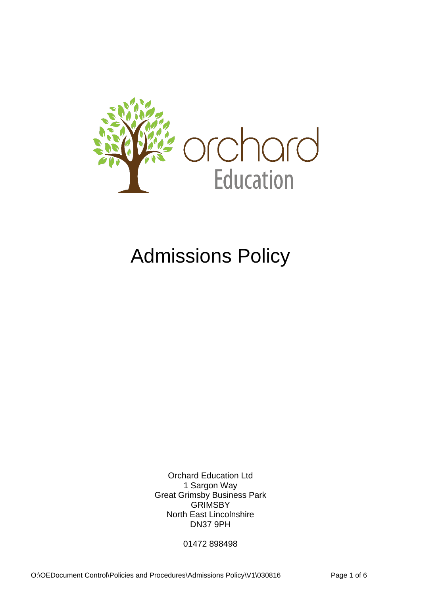

# Admissions Policy

Orchard Education Ltd 1 Sargon Way Great Grimsby Business Park GRIMSBY North East Lincolnshire DN37 9PH

01472 898498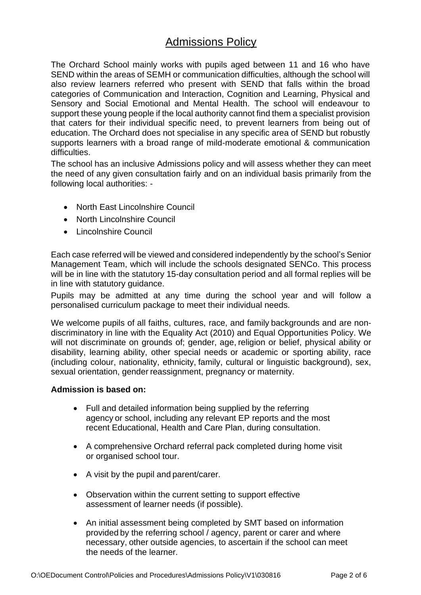## Admissions Policy

The Orchard School mainly works with pupils aged between 11 and 16 who have SEND within the areas of SEMH or communication difficulties, although the school will also review learners referred who present with SEND that falls within the broad categories of Communication and Interaction, Cognition and Learning, Physical and Sensory and Social Emotional and Mental Health. The school will endeavour to support these young people if the local authority cannot find them a specialist provision that caters for their individual specific need, to prevent learners from being out of education. The Orchard does not specialise in any specific area of SEND but robustly supports learners with a broad range of mild-moderate emotional & communication difficulties.

The school has an inclusive Admissions policy and will assess whether they can meet the need of any given consultation fairly and on an individual basis primarily from the following local authorities: -

- North East Lincolnshire Council
- North Lincolnshire Council
- Lincolnshire Council

Each case referred will be viewed and considered independently by the school's Senior Management Team, which will include the schools designated SENCo. This process will be in line with the statutory 15-day consultation period and all formal replies will be in line with statutory guidance.

Pupils may be admitted at any time during the school year and will follow a personalised curriculum package to meet their individual needs.

We welcome pupils of all faiths, cultures, race, and family backgrounds and are nondiscriminatory in line with the Equality Act (2010) and Equal Opportunities Policy. We will not discriminate on grounds of; gender, age, religion or belief, physical ability or disability, learning ability, other special needs or academic or sporting ability, race (including colour, nationality, ethnicity, family, cultural or linguistic background), sex, sexual orientation, gender reassignment, pregnancy or maternity.

### **Admission is based on:**

- Full and detailed information being supplied by the referring agency or school, including any relevant EP reports and the most recent Educational, Health and Care Plan, during consultation.
- A comprehensive Orchard referral pack completed during home visit or organised school tour.
- A visit by the pupil and parent/carer.
- Observation within the current setting to support effective assessment of learner needs (if possible).
- An initial assessment being completed by SMT based on information provided by the referring school / agency, parent or carer and where necessary, other outside agencies, to ascertain if the school can meet the needs of the learner.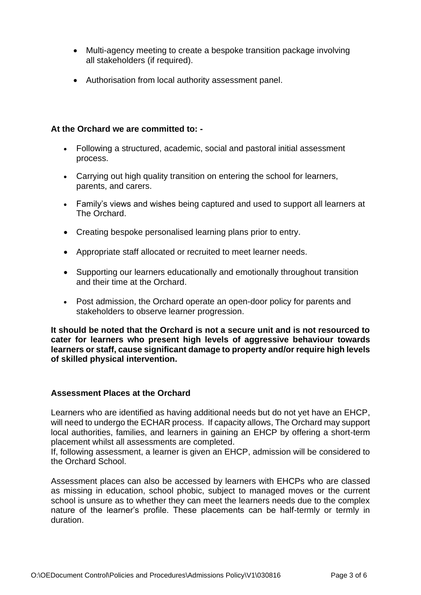- Multi-agency meeting to create a bespoke transition package involving all stakeholders (if required).
- Authorisation from local authority assessment panel.

## **At the Orchard we are committed to: -**

- Following a structured, academic, social and pastoral initial assessment process.
- Carrying out high quality transition on entering the school for learners, parents, and carers.
- Family's views and wishes being captured and used to support all learners at The Orchard.
- Creating bespoke personalised learning plans prior to entry.
- Appropriate staff allocated or recruited to meet learner needs.
- Supporting our learners educationally and emotionally throughout transition and their time at the Orchard.
- Post admission, the Orchard operate an open-door policy for parents and stakeholders to observe learner progression.

**It should be noted that the Orchard is not a secure unit and is not resourced to cater for learners who present high levels of aggressive behaviour towards learners or staff, cause significant damage to property and/or require high levels of skilled physical intervention.** 

### **Assessment Places at the Orchard**

Learners who are identified as having additional needs but do not yet have an EHCP, will need to undergo the ECHAR process. If capacity allows, The Orchard may support local authorities, families, and learners in gaining an EHCP by offering a short-term placement whilst all assessments are completed.

If, following assessment, a learner is given an EHCP, admission will be considered to the Orchard School.

Assessment places can also be accessed by learners with EHCPs who are classed as missing in education, school phobic, subject to managed moves or the current school is unsure as to whether they can meet the learners needs due to the complex nature of the learner's profile. These placements can be half-termly or termly in duration.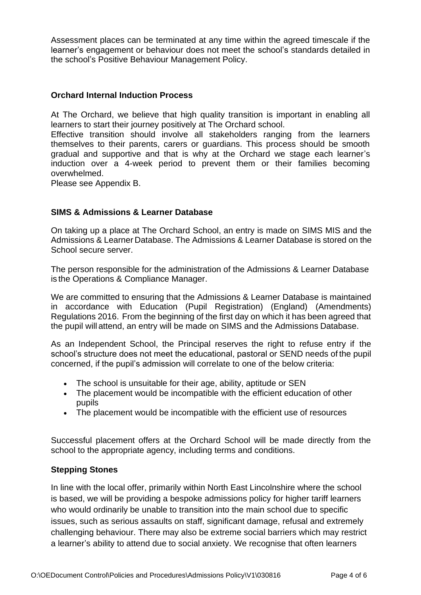Assessment places can be terminated at any time within the agreed timescale if the learner's engagement or behaviour does not meet the school's standards detailed in the school's Positive Behaviour Management Policy.

## **Orchard Internal Induction Process**

At The Orchard, we believe that high quality transition is important in enabling all learners to start their journey positively at The Orchard school.

Effective transition should involve all stakeholders ranging from the learners themselves to their parents, carers or guardians. This process should be smooth gradual and supportive and that is why at the Orchard we stage each learner's induction over a 4-week period to prevent them or their families becoming overwhelmed.

Please see Appendix B.

## **SIMS & Admissions & Learner Database**

On taking up a place at The Orchard School, an entry is made on SIMS MIS and the Admissions & Learner Database. The Admissions & Learner Database is stored on the School secure server.

The person responsible for the administration of the Admissions & Learner Database is the Operations & Compliance Manager.

We are committed to ensuring that the Admissions & Learner Database is maintained in accordance with Education (Pupil Registration) (England) (Amendments) Regulations 2016. From the beginning of the first day on which it has been agreed that the pupil will attend, an entry will be made on SIMS and the Admissions Database.

As an Independent School, the Principal reserves the right to refuse entry if the school's structure does not meet the educational, pastoral or SEND needs of the pupil concerned, if the pupil's admission will correlate to one of the below criteria:

- The school is unsuitable for their age, ability, aptitude or SEN
- The placement would be incompatible with the efficient education of other pupils
- The placement would be incompatible with the efficient use of resources

Successful placement offers at the Orchard School will be made directly from the school to the appropriate agency, including terms and conditions.

### **Stepping Stones**

In line with the local offer, primarily within North East Lincolnshire where the school is based, we will be providing a bespoke admissions policy for higher tariff learners who would ordinarily be unable to transition into the main school due to specific issues, such as serious assaults on staff, significant damage, refusal and extremely challenging behaviour. There may also be extreme social barriers which may restrict a learner's ability to attend due to social anxiety. We recognise that often learners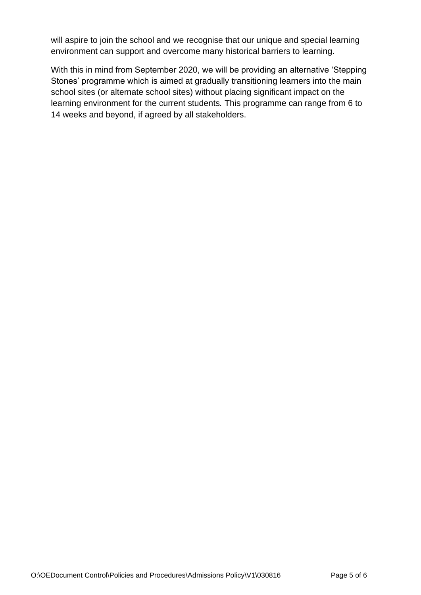will aspire to join the school and we recognise that our unique and special learning environment can support and overcome many historical barriers to learning.

With this in mind from September 2020, we will be providing an alternative 'Stepping Stones' programme which is aimed at gradually transitioning learners into the main school sites (or alternate school sites) without placing significant impact on the learning environment for the current students*.* This programme can range from 6 to 14 weeks and beyond, if agreed by all stakeholders.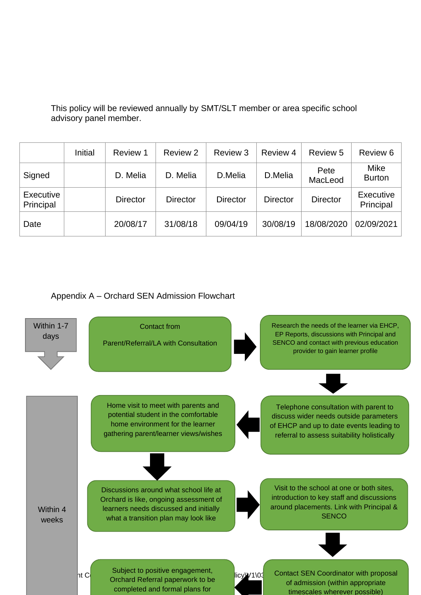This policy will be reviewed annually by SMT/SLT member or area specific school advisory panel member.

|                        | Initial | Review 1        | Review 2        | Review 3        | Review 4        | Review 5        | Review 6                     |
|------------------------|---------|-----------------|-----------------|-----------------|-----------------|-----------------|------------------------------|
| Signed                 |         | D. Melia        | D. Melia        | D.Melia         | D.Melia         | Pete<br>MacLeod | <b>Mike</b><br><b>Burton</b> |
| Executive<br>Principal |         | <b>Director</b> | <b>Director</b> | <b>Director</b> | <b>Director</b> | <b>Director</b> | Executive<br>Principal       |
| Date                   |         | 20/08/17        | 31/08/18        | 09/04/19        | 30/08/19        | 18/08/2020      | 02/09/2021                   |

## Appendix A – Orchard SEN Admission Flowchart

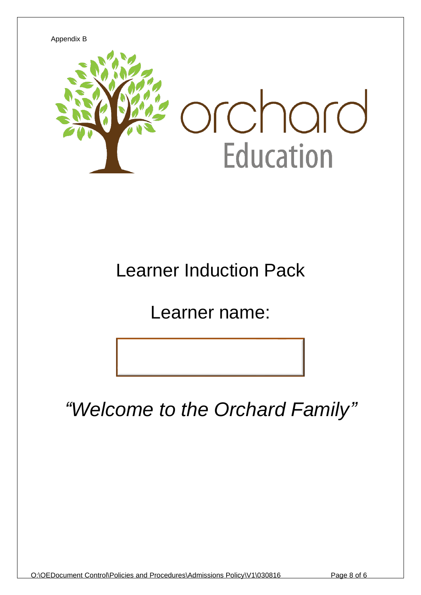

## Learner Induction Pack

Learner name:

*"Welcome to the Orchard Family"*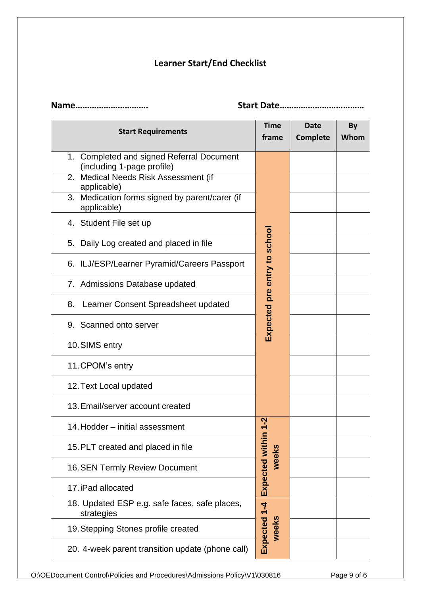## **Learner Start/End Checklist**

| Name                                                                                                            | Start Date                   |                                |            |
|-----------------------------------------------------------------------------------------------------------------|------------------------------|--------------------------------|------------|
| <b>Start Requirements</b>                                                                                       | <b>Time</b><br>frame         | <b>Date</b><br><b>Complete</b> | By<br>Whom |
| 1. Completed and signed Referral Document<br>(including 1-page profile)<br>2. Medical Needs Risk Assessment (if |                              |                                |            |
| applicable)                                                                                                     |                              |                                |            |
| 3. Medication forms signed by parent/carer (if<br>applicable)                                                   |                              |                                |            |
| 4. Student File set up                                                                                          |                              |                                |            |
| 5. Daily Log created and placed in file                                                                         | Expected pre entry to school |                                |            |
| 6. ILJ/ESP/Learner Pyramid/Careers Passport                                                                     |                              |                                |            |
| 7. Admissions Database updated                                                                                  |                              |                                |            |
| Learner Consent Spreadsheet updated<br>8.                                                                       |                              |                                |            |
| 9. Scanned onto server                                                                                          |                              |                                |            |
| 10. SIMS entry                                                                                                  |                              |                                |            |
| 11. CPOM's entry                                                                                                |                              |                                |            |
| 12. Text Local updated                                                                                          |                              |                                |            |
| 13. Email/server account created                                                                                |                              |                                |            |
| 14. Hodder - initial assessment                                                                                 |                              |                                |            |
| 15. PLT created and placed in file                                                                              | weeks                        |                                |            |
| <b>16. SEN Termly Review Document</b>                                                                           |                              |                                |            |
| 17. iPad allocated                                                                                              | Expected within 1-2          |                                |            |
| 18. Updated ESP e.g. safe faces, safe places,<br>strategies                                                     |                              |                                |            |
| 19. Stepping Stones profile created                                                                             | Expected 1-4<br>weeks        |                                |            |
| 20. 4-week parent transition update (phone call)                                                                |                              |                                |            |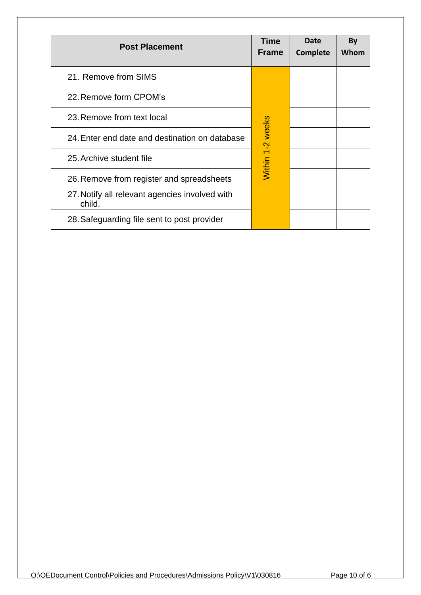| <b>Post Placement</b>                                    | <b>Time</b><br><b>Frame</b> | Date<br><b>Complete</b> | By<br>Whom |
|----------------------------------------------------------|-----------------------------|-------------------------|------------|
| 21. Remove from SIMS                                     |                             |                         |            |
| 22. Remove form CPOM's                                   |                             |                         |            |
| 23. Remove from text local                               |                             |                         |            |
| 24. Enter end date and destination on database           | Within 1-2 weeks            |                         |            |
| 25. Archive student file                                 |                             |                         |            |
| 26. Remove from register and spreadsheets                |                             |                         |            |
| 27. Notify all relevant agencies involved with<br>child. |                             |                         |            |
| 28. Safeguarding file sent to post provider              |                             |                         |            |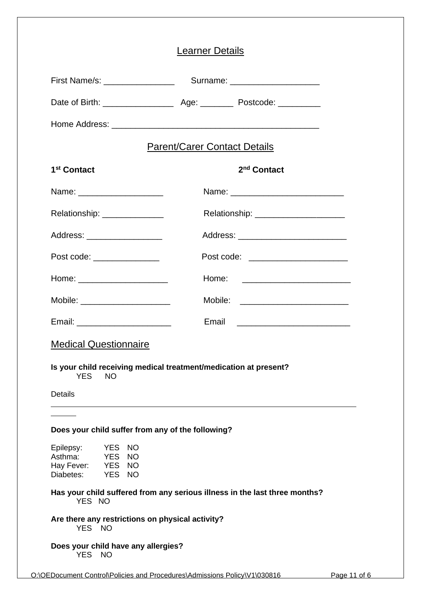|                                                                                             | <b>Learner Details</b>              |                                         |  |
|---------------------------------------------------------------------------------------------|-------------------------------------|-----------------------------------------|--|
| First Name/s: __________________                                                            |                                     | Surname: ______________________         |  |
|                                                                                             |                                     |                                         |  |
|                                                                                             |                                     |                                         |  |
|                                                                                             | <b>Parent/Carer Contact Details</b> |                                         |  |
| 1 <sup>st</sup> Contact                                                                     |                                     | 2 <sup>nd</sup> Contact                 |  |
| Name: ________________________                                                              |                                     |                                         |  |
| Relationship: _______________                                                               |                                     | Relationship: _________________________ |  |
| Address: ____________________                                                               |                                     | Address: _____________________________  |  |
| Post code: _________________                                                                |                                     | Post code: _______________________      |  |
| Home: _______________________                                                               |                                     |                                         |  |
| Mobile: ______________________                                                              |                                     | Mobile: ____________________________    |  |
| Email: _________________________                                                            |                                     | Email _____________________________     |  |
| <b>Medical Questionnaire</b>                                                                |                                     |                                         |  |
| Is your child receiving medical treatment/medication at present?<br><b>YES</b><br><b>NO</b> |                                     |                                         |  |
| <b>Details</b>                                                                              |                                     |                                         |  |
|                                                                                             |                                     |                                         |  |
| Does your child suffer from any of the following?                                           |                                     |                                         |  |
| YES NO<br>Epilepsy:<br>Asthma: YES NO<br>Hay Fever: YES NO<br>Diabetes: YES NO              |                                     |                                         |  |
| Has your child suffered from any serious illness in the last three months?<br>YES NO        |                                     |                                         |  |
| Are there any restrictions on physical activity?<br>YES NO                                  |                                     |                                         |  |
| Does your child have any allergies?<br>YES NO                                               |                                     |                                         |  |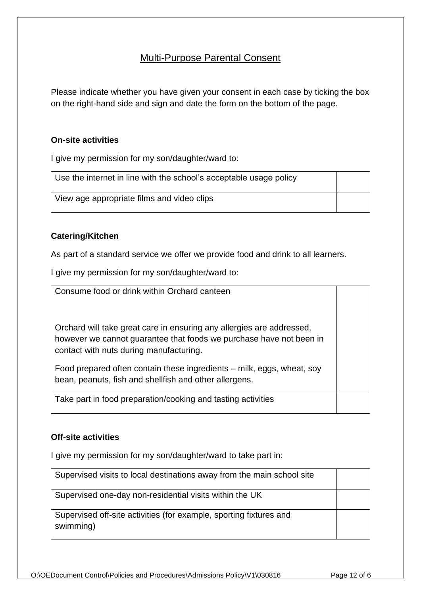## Multi-Purpose Parental Consent

Please indicate whether you have given your consent in each case by ticking the box on the right-hand side and sign and date the form on the bottom of the page.

## **On-site activities**

I give my permission for my son/daughter/ward to:

| Use the internet in line with the school's acceptable usage policy |  |
|--------------------------------------------------------------------|--|
| View age appropriate films and video clips                         |  |

## **Catering/Kitchen**

As part of a standard service we offer we provide food and drink to all learners.

I give my permission for my son/daughter/ward to:

| Consume food or drink within Orchard canteen                                                                                                                                            |  |
|-----------------------------------------------------------------------------------------------------------------------------------------------------------------------------------------|--|
| Orchard will take great care in ensuring any allergies are addressed,<br>however we cannot guarantee that foods we purchase have not been in<br>contact with nuts during manufacturing. |  |
| Food prepared often contain these ingredients – milk, eggs, wheat, soy<br>bean, peanuts, fish and shellfish and other allergens.                                                        |  |
| Take part in food preparation/cooking and tasting activities                                                                                                                            |  |

### **Off-site activities**

I give my permission for my son/daughter/ward to take part in:

| Supervised visits to local destinations away from the main school site          |  |
|---------------------------------------------------------------------------------|--|
| Supervised one-day non-residential visits within the UK                         |  |
| Supervised off-site activities (for example, sporting fixtures and<br>swimming) |  |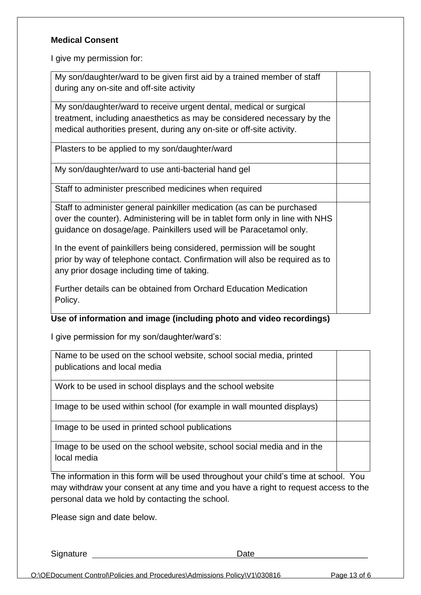## **Medical Consent**

I give my permission for:

| My son/daughter/ward to be given first aid by a trained member of staff<br>during any on-site and off-site activity                                                                                                           |  |
|-------------------------------------------------------------------------------------------------------------------------------------------------------------------------------------------------------------------------------|--|
| My son/daughter/ward to receive urgent dental, medical or surgical<br>treatment, including anaesthetics as may be considered necessary by the<br>medical authorities present, during any on-site or off-site activity.        |  |
| Plasters to be applied to my son/daughter/ward                                                                                                                                                                                |  |
| My son/daughter/ward to use anti-bacterial hand gel                                                                                                                                                                           |  |
| Staff to administer prescribed medicines when required                                                                                                                                                                        |  |
| Staff to administer general painkiller medication (as can be purchased<br>over the counter). Administering will be in tablet form only in line with NHS<br>guidance on dosage/age. Painkillers used will be Paracetamol only. |  |
| In the event of painkillers being considered, permission will be sought<br>prior by way of telephone contact. Confirmation will also be required as to<br>any prior dosage including time of taking.                          |  |
| Further details can be obtained from Orchard Education Medication<br>Policy.                                                                                                                                                  |  |

## **Use of information and image (including photo and video recordings)**

I give permission for my son/daughter/ward's:

| Name to be used on the school website, school social media, printed<br>publications and local media |  |
|-----------------------------------------------------------------------------------------------------|--|
| Work to be used in school displays and the school website                                           |  |
| Image to be used within school (for example in wall mounted displays)                               |  |
| Image to be used in printed school publications                                                     |  |
| Image to be used on the school website, school social media and in the<br>local media               |  |

The information in this form will be used throughout your child's time at school. You may withdraw your consent at any time and you have a right to request access to the personal data we hold by contacting the school.

Please sign and date below.

Signature Date\_\_\_\_\_\_\_\_\_\_\_\_\_\_\_\_\_\_\_\_\_\_\_\_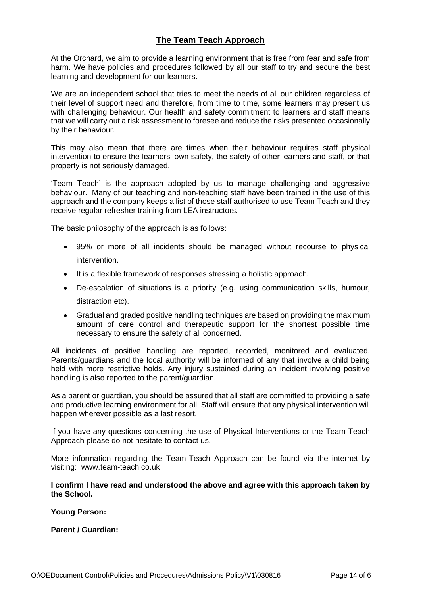## **The Team Teach Approach**

At the Orchard, we aim to provide a learning environment that is free from fear and safe from harm. We have policies and procedures followed by all our staff to try and secure the best learning and development for our learners.

We are an independent school that tries to meet the needs of all our children regardless of their level of support need and therefore, from time to time, some learners may present us with challenging behaviour. Our health and safety commitment to learners and staff means that we will carry out a risk assessment to foresee and reduce the risks presented occasionally by their behaviour.

This may also mean that there are times when their behaviour requires staff physical intervention to ensure the learners' own safety, the safety of other learners and staff, or that property is not seriously damaged.

'Team Teach' is the approach adopted by us to manage challenging and aggressive behaviour. Many of our teaching and non-teaching staff have been trained in the use of this approach and the company keeps a list of those staff authorised to use Team Teach and they receive regular refresher training from LEA instructors.

The basic philosophy of the approach is as follows:

- 95% or more of all incidents should be managed without recourse to physical intervention.
- It is a flexible framework of responses stressing a holistic approach.
- De-escalation of situations is a priority (e.g. using communication skills, humour, distraction etc).
- Gradual and graded positive handling techniques are based on providing the maximum amount of care control and therapeutic support for the shortest possible time necessary to ensure the safety of all concerned.

All incidents of positive handling are reported, recorded, monitored and evaluated. Parents/guardians and the local authority will be informed of any that involve a child being held with more restrictive holds. Any injury sustained during an incident involving positive handling is also reported to the parent/guardian.

As a parent or guardian, you should be assured that all staff are committed to providing a safe and productive learning environment for all. Staff will ensure that any physical intervention will happen wherever possible as a last resort.

If you have any questions concerning the use of Physical Interventions or the Team Teach Approach please do not hesitate to contact us.

More information regarding the Team-Teach Approach can be found via the internet by visiting: [www.team-teach.co.uk](http://www.team-teach.co.uk/)

**I confirm I have read and understood the above and agree with this approach taken by the School.** 

**Young Person:** 

**Parent / Guardian:**